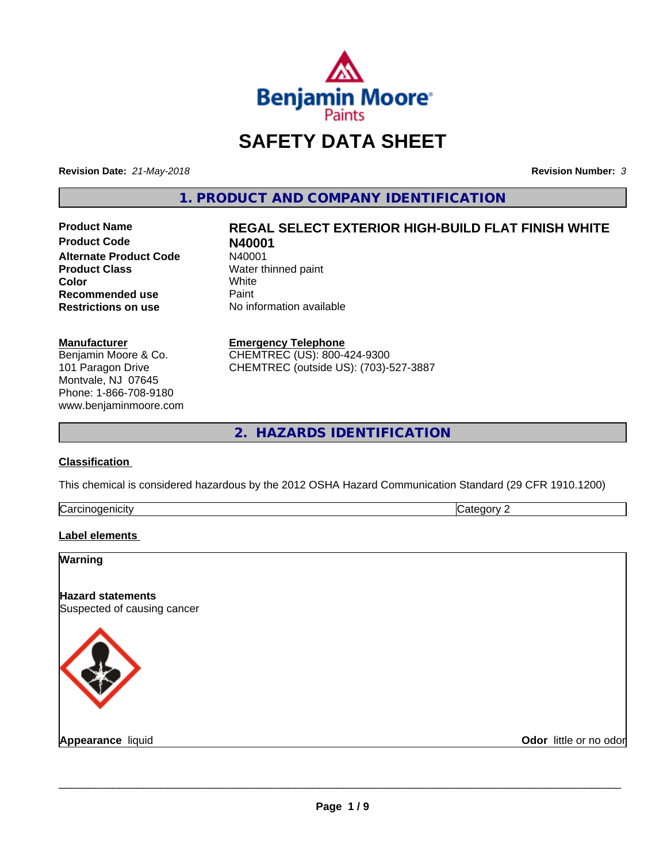

# **SAFETY DATA SHEET**

**Revision Date:** *21-May-2018* **Revision Number:** *3*

**1. PRODUCT AND COMPANY IDENTIFICATION**

**Product Code 1988**<br>**Alternate Product Code** 19880001 **Alternate Product Code**<br>Product Class **Color** White White **Recommended use** Paint<br> **Restrictions on use** No inf

# **Product Name REGAL SELECT EXTERIOR HIGH-BUILD FLAT FINISH WHITE**

**Water thinned paint**<br>White **No information available** 

#### **Manufacturer**

Benjamin Moore & Co. 101 Paragon Drive Montvale, NJ 07645 Phone: 1-866-708-9180 www.benjaminmoore.com

#### **Emergency Telephone**

CHEMTREC (US): 800-424-9300 CHEMTREC (outside US): (703)-527-3887

**2. HAZARDS IDENTIFICATION**

# **Classification**

This chemical is considered hazardous by the 2012 OSHA Hazard Communication Standard (29 CFR 1910.1200)

| ∽<br>- - -<br>----<br>.<br>ruard<br>ш<br>. .<br>___ | ш |
|-----------------------------------------------------|---|
|                                                     |   |

# **Label elements**

| Warning                                                 |                        |
|---------------------------------------------------------|------------------------|
| <b>Hazard statements</b><br>Suspected of causing cancer |                        |
|                                                         |                        |
| <b>Appearance liquid</b>                                | Odor little or no odor |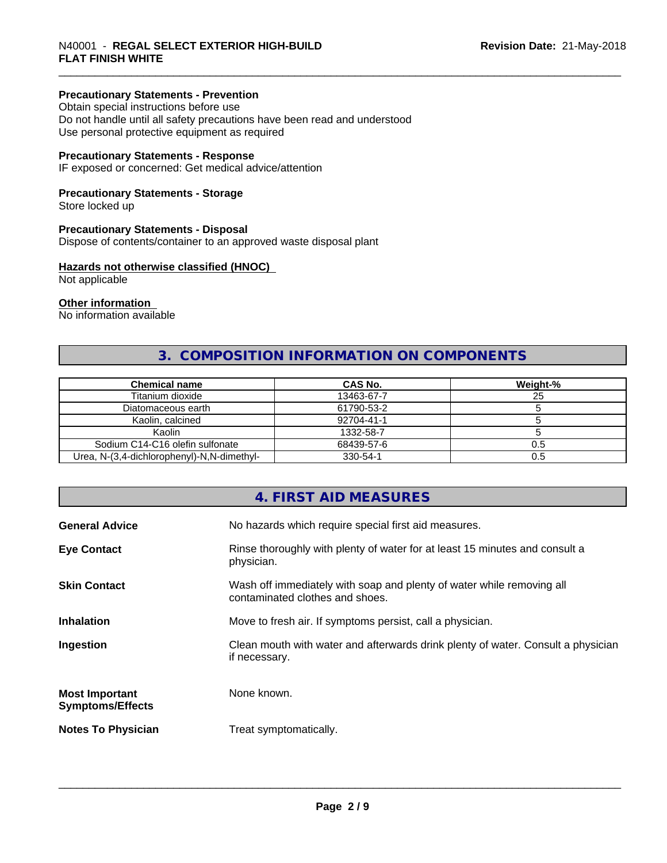# **Precautionary Statements - Prevention**

Obtain special instructions before use Do not handle until all safety precautions have been read and understood Use personal protective equipment as required

# **Precautionary Statements - Response**

IF exposed or concerned: Get medical advice/attention

# **Precautionary Statements - Storage**

Store locked up

#### **Precautionary Statements - Disposal**

Dispose of contents/container to an approved waste disposal plant

# **Hazards not otherwise classified (HNOC)**

Not applicable

#### **Other information**

No information available

# **3. COMPOSITION INFORMATION ON COMPONENTS**

| <b>Chemical name</b>                       | CAS No.    | Weight-% |
|--------------------------------------------|------------|----------|
| Titanium dioxide                           | 13463-67-7 | 25       |
| Diatomaceous earth                         | 61790-53-2 |          |
| Kaolin, calcined                           | 92704-41-1 |          |
| Kaolin                                     | 1332-58-7  |          |
| Sodium C14-C16 olefin sulfonate            | 68439-57-6 | U.5      |
| Urea, N-(3,4-dichlorophenyl)-N,N-dimethyl- | 330-54-1   | 0.5      |

# **4. FIRST AID MEASURES**

| <b>General Advice</b>                            | No hazards which require special first aid measures.                                                     |
|--------------------------------------------------|----------------------------------------------------------------------------------------------------------|
| <b>Eye Contact</b>                               | Rinse thoroughly with plenty of water for at least 15 minutes and consult a<br>physician.                |
| <b>Skin Contact</b>                              | Wash off immediately with soap and plenty of water while removing all<br>contaminated clothes and shoes. |
| <b>Inhalation</b>                                | Move to fresh air. If symptoms persist, call a physician.                                                |
| Ingestion                                        | Clean mouth with water and afterwards drink plenty of water. Consult a physician<br>if necessary.        |
| <b>Most Important</b><br><b>Symptoms/Effects</b> | None known.                                                                                              |
| <b>Notes To Physician</b>                        | Treat symptomatically.                                                                                   |
|                                                  |                                                                                                          |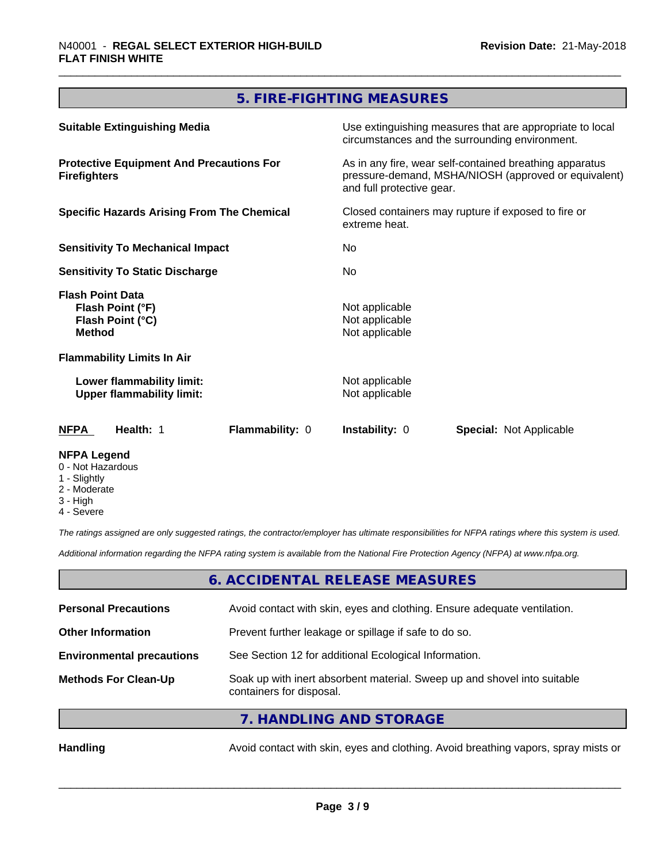# **5. FIRE-FIGHTING MEASURES**

| <b>Suitable Extinguishing Media</b>                                              | Use extinguishing measures that are appropriate to local<br>circumstances and the surrounding environment.<br>As in any fire, wear self-contained breathing apparatus<br>pressure-demand, MSHA/NIOSH (approved or equivalent)<br>and full protective gear. |  |
|----------------------------------------------------------------------------------|------------------------------------------------------------------------------------------------------------------------------------------------------------------------------------------------------------------------------------------------------------|--|
| <b>Protective Equipment And Precautions For</b><br><b>Firefighters</b>           |                                                                                                                                                                                                                                                            |  |
| <b>Specific Hazards Arising From The Chemical</b>                                | Closed containers may rupture if exposed to fire or<br>extreme heat.                                                                                                                                                                                       |  |
| <b>Sensitivity To Mechanical Impact</b>                                          | No.                                                                                                                                                                                                                                                        |  |
| <b>Sensitivity To Static Discharge</b>                                           | No.                                                                                                                                                                                                                                                        |  |
| <b>Flash Point Data</b><br>Flash Point (°F)<br>Flash Point (°C)<br><b>Method</b> | Not applicable<br>Not applicable<br>Not applicable                                                                                                                                                                                                         |  |
| <b>Flammability Limits In Air</b>                                                |                                                                                                                                                                                                                                                            |  |
| Lower flammability limit:<br><b>Upper flammability limit:</b>                    | Not applicable<br>Not applicable                                                                                                                                                                                                                           |  |
| <b>NFPA</b><br>Health: 1<br>Flammability: 0                                      | <b>Instability: 0</b><br><b>Special: Not Applicable</b>                                                                                                                                                                                                    |  |
| <b>NFPA Legend</b>                                                               |                                                                                                                                                                                                                                                            |  |

- 0 Not Hazardous
- 1 Slightly
- 2 Moderate
- 3 High
- 4 Severe

*The ratings assigned are only suggested ratings, the contractor/employer has ultimate responsibilities for NFPA ratings where this system is used.*

*Additional information regarding the NFPA rating system is available from the National Fire Protection Agency (NFPA) at www.nfpa.org.*

# **6. ACCIDENTAL RELEASE MEASURES**

| <b>Personal Precautions</b>      | Avoid contact with skin, eyes and clothing. Ensure adequate ventilation.                             |
|----------------------------------|------------------------------------------------------------------------------------------------------|
| <b>Other Information</b>         | Prevent further leakage or spillage if safe to do so.                                                |
| <b>Environmental precautions</b> | See Section 12 for additional Ecological Information.                                                |
| <b>Methods For Clean-Up</b>      | Soak up with inert absorbent material. Sweep up and shovel into suitable<br>containers for disposal. |
|                                  | 7 HANDLING AND CTODACE                                                                               |

**7. HANDLING AND STORAGE**

Handling **Handling** Avoid contact with skin, eyes and clothing. Avoid breathing vapors, spray mists or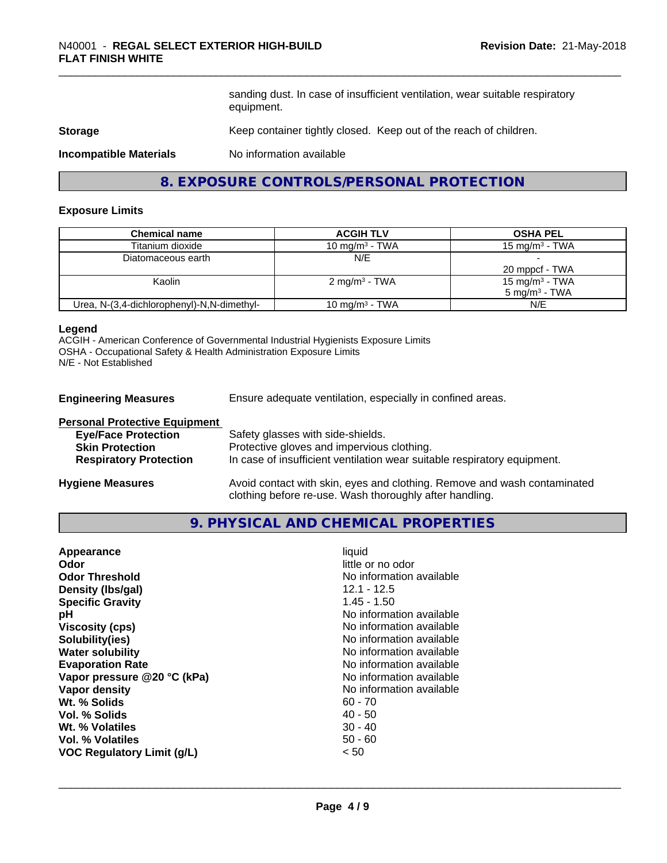sanding dust. In case of insufficient ventilation, wear suitable respiratory equipment.

# **Storage** Keep container tightly closed. Keep out of the reach of children.

**Incompatible Materials** No information available

# **8. EXPOSURE CONTROLS/PERSONAL PROTECTION**

#### **Exposure Limits**

| <b>Chemical name</b>                       | <b>ACGIH TLV</b>           | <b>OSHA PEL</b>            |
|--------------------------------------------|----------------------------|----------------------------|
| Titanium dioxide                           | 10 mg/m $3$ - TWA          | $15 \text{ mg/m}^3$ - TWA  |
| Diatomaceous earth                         | N/E                        |                            |
|                                            |                            | 20 mppcf - TWA             |
| Kaolin                                     | $2 \text{ mg/m}^3$ - TWA   | 15 mg/m <sup>3</sup> - TWA |
|                                            |                            | $5 \text{ ma/m}^3$ - TWA   |
| Urea, N-(3,4-dichlorophenyl)-N,N-dimethyl- | 10 mg/m <sup>3</sup> - TWA | N/E                        |

#### **Legend**

ACGIH - American Conference of Governmental Industrial Hygienists Exposure Limits OSHA - Occupational Safety & Health Administration Exposure Limits N/E - Not Established

**Engineering Measures** Ensure adequate ventilation, especially in confined areas.

| <b>Personal Protective Equipment</b> |                                                                                                                                     |
|--------------------------------------|-------------------------------------------------------------------------------------------------------------------------------------|
| <b>Eye/Face Protection</b>           | Safety glasses with side-shields.                                                                                                   |
| <b>Skin Protection</b>               | Protective gloves and impervious clothing.                                                                                          |
| <b>Respiratory Protection</b>        | In case of insufficient ventilation wear suitable respiratory equipment.                                                            |
| <b>Hygiene Measures</b>              | Avoid contact with skin, eyes and clothing. Remove and wash contaminated<br>clothing before re-use. Wash thoroughly after handling. |

# **9. PHYSICAL AND CHEMICAL PROPERTIES**

| $1.45 - 1.50$<br><b>Specific Gravity</b><br>No information available<br>рH<br>No information available<br><b>Viscosity (cps)</b><br>Solubility(ies)<br>No information available<br>No information available<br><b>Water solubility</b><br>No information available<br><b>Evaporation Rate</b><br>No information available<br>Vapor pressure @20 °C (kPa)<br>No information available<br>Vapor density<br>Wt. % Solids<br>$60 - 70$<br>$40 - 50$<br>Vol. % Solids<br>$30 - 40$<br>Wt. % Volatiles<br>$50 - 60$<br>Vol. % Volatiles<br><b>VOC Regulatory Limit (g/L)</b><br>< 50 |
|--------------------------------------------------------------------------------------------------------------------------------------------------------------------------------------------------------------------------------------------------------------------------------------------------------------------------------------------------------------------------------------------------------------------------------------------------------------------------------------------------------------------------------------------------------------------------------|
|--------------------------------------------------------------------------------------------------------------------------------------------------------------------------------------------------------------------------------------------------------------------------------------------------------------------------------------------------------------------------------------------------------------------------------------------------------------------------------------------------------------------------------------------------------------------------------|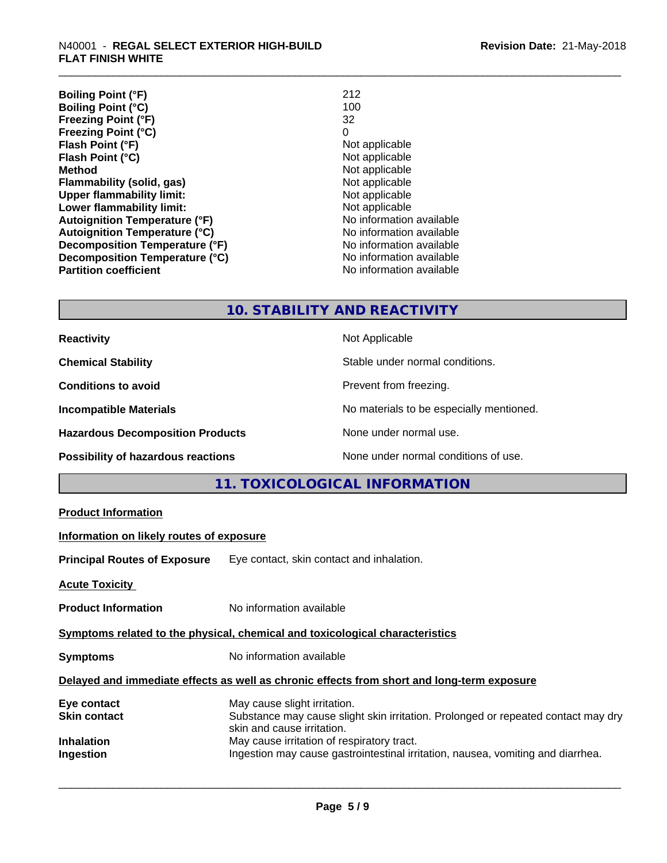| <b>Boiling Point (°F)</b>            | 212                      |
|--------------------------------------|--------------------------|
| <b>Boiling Point (°C)</b>            | 100                      |
| <b>Freezing Point (°F)</b>           | 32                       |
| <b>Freezing Point (°C)</b>           | 0                        |
| Flash Point (°F)                     | Not applicable           |
| Flash Point (°C)                     | Not applicable           |
| <b>Method</b>                        | Not applicable           |
| <b>Flammability (solid, gas)</b>     | Not applicable           |
| <b>Upper flammability limit:</b>     | Not applicable           |
| Lower flammability limit:            | Not applicable           |
| <b>Autoignition Temperature (°F)</b> | No information available |
| <b>Autoignition Temperature (°C)</b> | No information available |
| Decomposition Temperature (°F)       | No information available |
| Decomposition Temperature (°C)       | No information available |
| <b>Partition coefficient</b>         | No information available |

# **10. STABILITY AND REACTIVITY**

| <b>Reactivity</b>                         | Not Applicable                           |
|-------------------------------------------|------------------------------------------|
| <b>Chemical Stability</b>                 | Stable under normal conditions.          |
| <b>Conditions to avoid</b>                | Prevent from freezing.                   |
| <b>Incompatible Materials</b>             | No materials to be especially mentioned. |
| <b>Hazardous Decomposition Products</b>   | None under normal use.                   |
| <b>Possibility of hazardous reactions</b> | None under normal conditions of use.     |

# **11. TOXICOLOGICAL INFORMATION**

| <b>Product Information</b>                                                                 |                                                                                                                                                 |  |
|--------------------------------------------------------------------------------------------|-------------------------------------------------------------------------------------------------------------------------------------------------|--|
| Information on likely routes of exposure                                                   |                                                                                                                                                 |  |
|                                                                                            | <b>Principal Routes of Exposure</b> Eye contact, skin contact and inhalation.                                                                   |  |
| Acute Toxicity                                                                             |                                                                                                                                                 |  |
| <b>Product Information</b>                                                                 | No information available                                                                                                                        |  |
| Symptoms related to the physical, chemical and toxicological characteristics               |                                                                                                                                                 |  |
| <b>Symptoms</b>                                                                            | No information available                                                                                                                        |  |
| Delayed and immediate effects as well as chronic effects from short and long-term exposure |                                                                                                                                                 |  |
| Eye contact<br>Skin contact                                                                | May cause slight irritation.<br>Substance may cause slight skin irritation. Prolonged or repeated contact may dry<br>skin and cause irritation. |  |
| Inhalation<br>Ingestion                                                                    | May cause irritation of respiratory tract.<br>Ingestion may cause gastrointestinal irritation, nausea, vomiting and diarrhea.                   |  |
|                                                                                            |                                                                                                                                                 |  |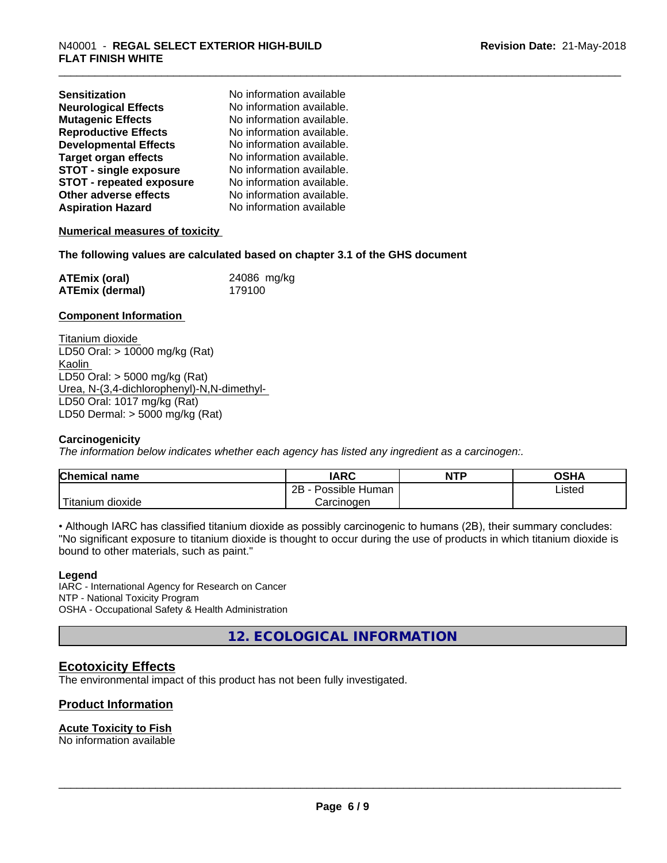| <b>Sensitization</b>            | No information available  |
|---------------------------------|---------------------------|
| <b>Neurological Effects</b>     | No information available. |
| <b>Mutagenic Effects</b>        | No information available. |
| <b>Reproductive Effects</b>     | No information available. |
| <b>Developmental Effects</b>    | No information available. |
| <b>Target organ effects</b>     | No information available. |
| <b>STOT - single exposure</b>   | No information available. |
| <b>STOT - repeated exposure</b> | No information available. |
| Other adverse effects           | No information available. |
| <b>Aspiration Hazard</b>        | No information available  |

# **Numerical measures of toxicity**

#### **The following values are calculated based on chapter 3.1 of the GHS document**

| <b>ATEmix (oral)</b> | 24086 mg/kg |
|----------------------|-------------|
| ATEmix (dermal)      | 179100      |

#### **Component Information**

Titanium dioxide LD50 Oral: > 10000 mg/kg (Rat) Kaolin LD50 Oral: > 5000 mg/kg (Rat) Urea, N-(3,4-dichlorophenyl)-N,N-dimethyl- LD50 Oral: 1017 mg/kg (Rat) LD50 Dermal: > 5000 mg/kg (Rat)

# **Carcinogenicity**

*The information below indicateswhether each agency has listed any ingredient as a carcinogen:.*

| <b>Chemical name</b>    | <b>IARC</b>               | <b>NTP</b> | <b>OSHA</b> |  |
|-------------------------|---------------------------|------------|-------------|--|
|                         | .<br>2B<br>Possible Human |            | Listed      |  |
| ' Titanium<br>dioxide ו | Carcinogen                |            |             |  |

• Although IARC has classified titanium dioxide as possibly carcinogenic to humans (2B), their summary concludes: "No significant exposure to titanium dioxide is thought to occur during the use of products in which titanium dioxide is bound to other materials, such as paint."

#### **Legend**

IARC - International Agency for Research on Cancer NTP - National Toxicity Program OSHA - Occupational Safety & Health Administration

**12. ECOLOGICAL INFORMATION**

# **Ecotoxicity Effects**

The environmental impact of this product has not been fully investigated.

# **Product Information**

# **Acute Toxicity to Fish**

No information available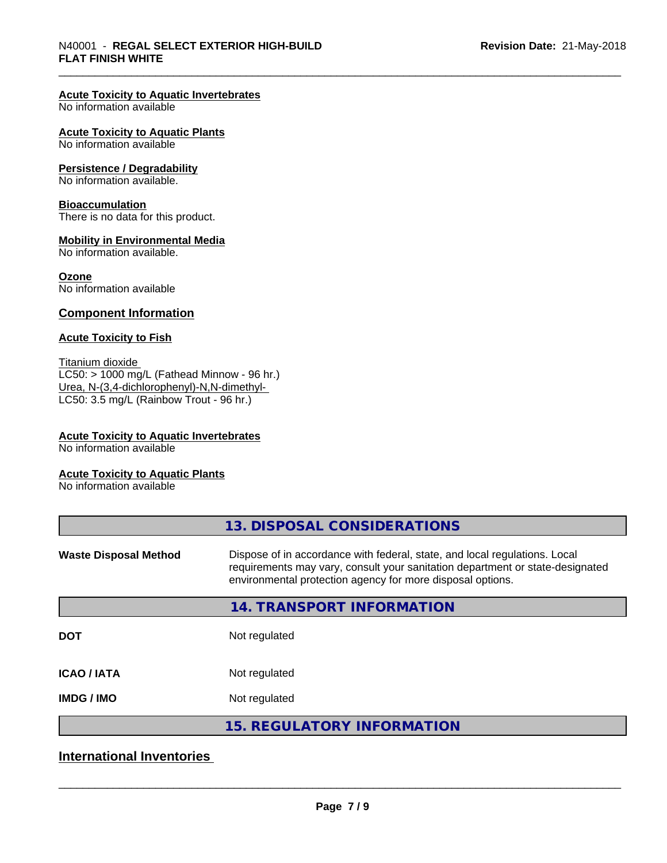# **Acute Toxicity to Aquatic Invertebrates**

No information available

#### **Acute Toxicity to Aquatic Plants**

No information available

#### **Persistence / Degradability**

No information available.

#### **Bioaccumulation**

There is no data for this product.

# **Mobility in Environmental Media**

No information available.

#### **Ozone**

No information available

# **Component Information**

# **Acute Toxicity to Fish**

Titanium dioxide  $LC50: > 1000$  mg/L (Fathead Minnow - 96 hr.) Urea, N-(3,4-dichlorophenyl)-N,N-dimethyl- LC50: 3.5 mg/L (Rainbow Trout - 96 hr.)

# **Acute Toxicity to Aquatic Invertebrates**

No information available

#### **Acute Toxicity to Aquatic Plants**

No information available

| 13. DISPOSAL CONSIDERATIONS                                                                                                                                                                                               |
|---------------------------------------------------------------------------------------------------------------------------------------------------------------------------------------------------------------------------|
| Dispose of in accordance with federal, state, and local regulations. Local<br>requirements may vary, consult your sanitation department or state-designated<br>environmental protection agency for more disposal options. |
| 14. TRANSPORT INFORMATION                                                                                                                                                                                                 |
| Not regulated                                                                                                                                                                                                             |
| Not regulated                                                                                                                                                                                                             |
| Not regulated                                                                                                                                                                                                             |
| <b>15. REGULATORY INFORMATION</b>                                                                                                                                                                                         |
|                                                                                                                                                                                                                           |

# **International Inventories**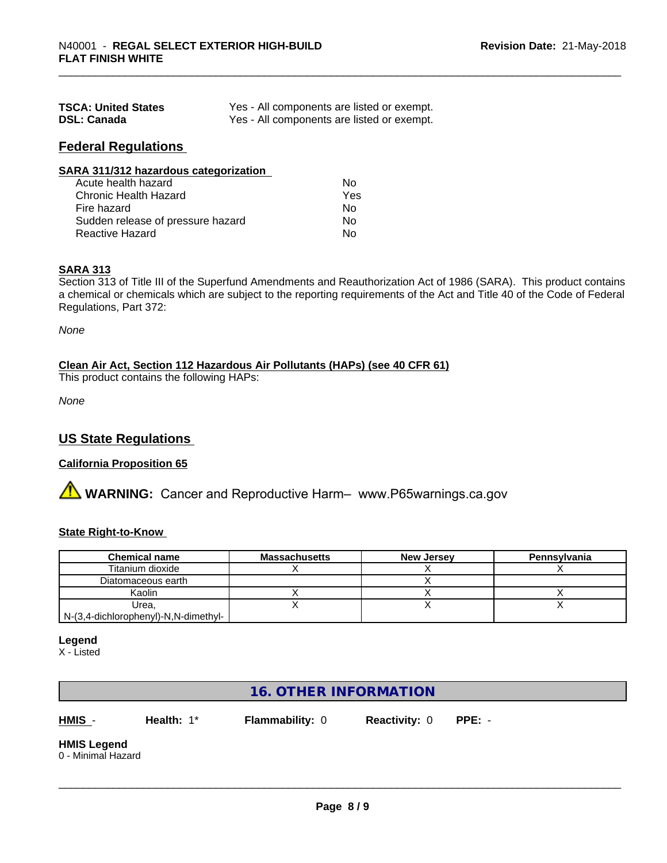| <b>TSCA: United States</b> | Yes - All components are listed or exempt. |
|----------------------------|--------------------------------------------|
| <b>DSL: Canada</b>         | Yes - All components are listed or exempt. |

# **Federal Regulations**

| SARA 311/312 hazardous categorization |     |  |
|---------------------------------------|-----|--|
| Acute health hazard                   | Nο  |  |
| Chronic Health Hazard                 | Yes |  |
| Fire hazard                           | Nο  |  |
| Sudden release of pressure hazard     | No  |  |
| <b>Reactive Hazard</b>                | No  |  |

# **SARA 313**

Section 313 of Title III of the Superfund Amendments and Reauthorization Act of 1986 (SARA). This product contains a chemical or chemicals which are subject to the reporting requirements of the Act and Title 40 of the Code of Federal Regulations, Part 372:

*None*

# **Clean Air Act,Section 112 Hazardous Air Pollutants (HAPs) (see 40 CFR 61)**

This product contains the following HAPs:

*None*

# **US State Regulations**

# **California Proposition 65**

**AN** WARNING: Cancer and Reproductive Harm– www.P65warnings.ca.gov

# **State Right-to-Know**

| <b>Chemical name</b>                 | <b>Massachusetts</b> | <b>New Jersey</b> | Pennsylvania |
|--------------------------------------|----------------------|-------------------|--------------|
| Titanium dioxide                     |                      |                   |              |
| Diatomaceous earth                   |                      |                   |              |
| Kaolin                               |                      |                   |              |
| Urea.                                |                      |                   |              |
| N-(3,4-dichlorophenyl)-N,N-dimethyl- |                      |                   |              |

# **Legend**

X - Listed

# **16. OTHER INFORMATION**

**HMIS** - **Health:** 1\* **Flammability:** 0 **Reactivity:** 0 **PPE:** -

 $\overline{\phantom{a}}$  ,  $\overline{\phantom{a}}$  ,  $\overline{\phantom{a}}$  ,  $\overline{\phantom{a}}$  ,  $\overline{\phantom{a}}$  ,  $\overline{\phantom{a}}$  ,  $\overline{\phantom{a}}$  ,  $\overline{\phantom{a}}$  ,  $\overline{\phantom{a}}$  ,  $\overline{\phantom{a}}$  ,  $\overline{\phantom{a}}$  ,  $\overline{\phantom{a}}$  ,  $\overline{\phantom{a}}$  ,  $\overline{\phantom{a}}$  ,  $\overline{\phantom{a}}$  ,  $\overline{\phantom{a}}$ 

#### **HMIS Legend** 0 - Minimal Hazard